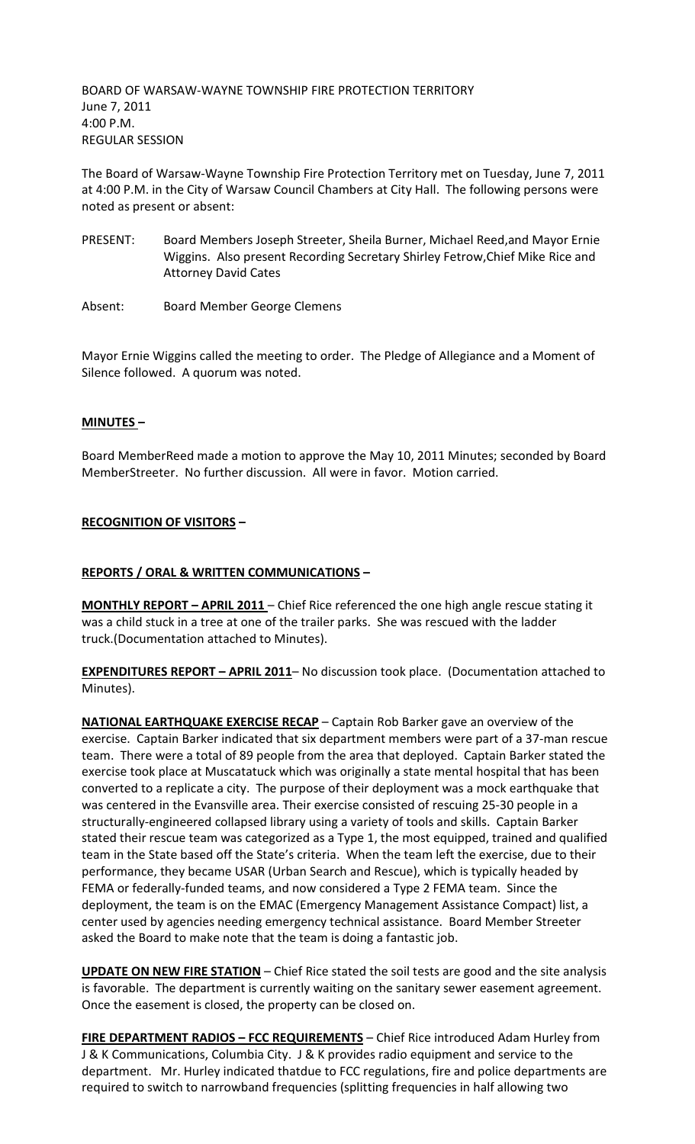BOARD OF WARSAW-WAYNE TOWNSHIP FIRE PROTECTION TERRITORY June 7, 2011 4:00 P.M. REGULAR SESSION

The Board of Warsaw-Wayne Township Fire Protection Territory met on Tuesday, June 7, 2011 at 4:00 P.M. in the City of Warsaw Council Chambers at City Hall. The following persons were noted as present or absent:

- PRESENT: Board Members Joseph Streeter, Sheila Burner, Michael Reed,and Mayor Ernie Wiggins. Also present Recording Secretary Shirley Fetrow,Chief Mike Rice and Attorney David Cates
- Absent: Board Member George Clemens

Mayor Ernie Wiggins called the meeting to order. The Pledge of Allegiance and a Moment of Silence followed. A quorum was noted.

# **MINUTES –**

Board MemberReed made a motion to approve the May 10, 2011 Minutes; seconded by Board MemberStreeter. No further discussion. All were in favor. Motion carried.

# **RECOGNITION OF VISITORS –**

### **REPORTS / ORAL & WRITTEN COMMUNICATIONS –**

**MONTHLY REPORT - APRIL 2011** - Chief Rice referenced the one high angle rescue stating it was a child stuck in a tree at one of the trailer parks. She was rescued with the ladder truck.(Documentation attached to Minutes).

**EXPENDITURES REPORT – APRIL 2011**– No discussion took place. (Documentation attached to Minutes).

**NATIONAL EARTHQUAKE EXERCISE RECAP** – Captain Rob Barker gave an overview of the exercise. Captain Barker indicated that six department members were part of a 37-man rescue team. There were a total of 89 people from the area that deployed. Captain Barker stated the exercise took place at Muscatatuck which was originally a state mental hospital that has been converted to a replicate a city. The purpose of their deployment was a mock earthquake that was centered in the Evansville area. Their exercise consisted of rescuing 25-30 people in a structurally-engineered collapsed library using a variety of tools and skills. Captain Barker stated their rescue team was categorized as a Type 1, the most equipped, trained and qualified team in the State based off the State's criteria. When the team left the exercise, due to their performance, they became USAR (Urban Search and Rescue), which is typically headed by FEMA or federally-funded teams, and now considered a Type 2 FEMA team. Since the deployment, the team is on the EMAC (Emergency Management Assistance Compact) list, a center used by agencies needing emergency technical assistance. Board Member Streeter asked the Board to make note that the team is doing a fantastic job.

**UPDATE ON NEW FIRE STATION** – Chief Rice stated the soil tests are good and the site analysis is favorable. The department is currently waiting on the sanitary sewer easement agreement. Once the easement is closed, the property can be closed on.

**FIRE DEPARTMENT RADIOS – FCC REQUIREMENTS** – Chief Rice introduced Adam Hurley from J & K Communications, Columbia City. J & K provides radio equipment and service to the department. Mr. Hurley indicated thatdue to FCC regulations, fire and police departments are required to switch to narrowband frequencies (splitting frequencies in half allowing two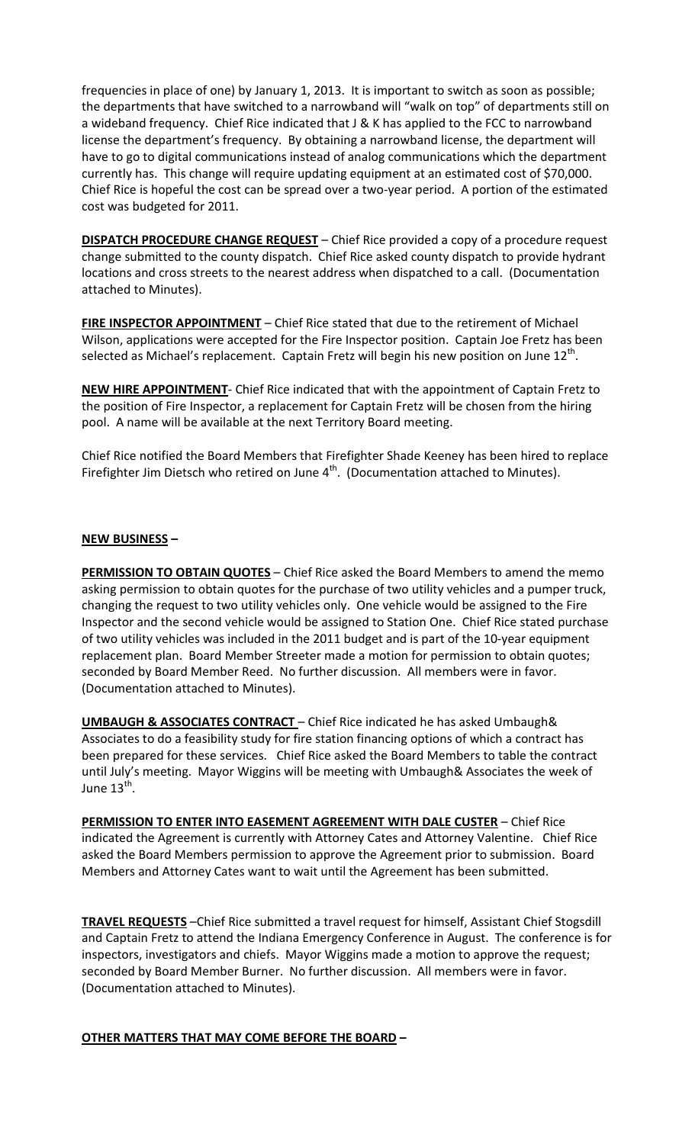frequencies in place of one) by January 1, 2013. It is important to switch as soon as possible; the departments that have switched to a narrowband will "walk on top" of departments still on a wideband frequency. Chief Rice indicated that J & K has applied to the FCC to narrowband license the department's frequency. By obtaining a narrowband license, the department will have to go to digital communications instead of analog communications which the department currently has. This change will require updating equipment at an estimated cost of \$70,000. Chief Rice is hopeful the cost can be spread over a two-year period. A portion of the estimated cost was budgeted for 2011.

**DISPATCH PROCEDURE CHANGE REQUEST** – Chief Rice provided a copy of a procedure request change submitted to the county dispatch. Chief Rice asked county dispatch to provide hydrant locations and cross streets to the nearest address when dispatched to a call. (Documentation attached to Minutes).

**FIRE INSPECTOR APPOINTMENT** – Chief Rice stated that due to the retirement of Michael Wilson, applications were accepted for the Fire Inspector position. Captain Joe Fretz has been selected as Michael's replacement. Captain Fretz will begin his new position on June 12<sup>th</sup>.

**NEW HIRE APPOINTMENT**- Chief Rice indicated that with the appointment of Captain Fretz to the position of Fire Inspector, a replacement for Captain Fretz will be chosen from the hiring pool. A name will be available at the next Territory Board meeting.

Chief Rice notified the Board Members that Firefighter Shade Keeney has been hired to replace Firefighter Jim Dietsch who retired on June  $4<sup>th</sup>$ . (Documentation attached to Minutes).

### **NEW BUSINESS –**

**PERMISSION TO OBTAIN QUOTES** - Chief Rice asked the Board Members to amend the memo asking permission to obtain quotes for the purchase of two utility vehicles and a pumper truck, changing the request to two utility vehicles only. One vehicle would be assigned to the Fire Inspector and the second vehicle would be assigned to Station One. Chief Rice stated purchase of two utility vehicles was included in the 2011 budget and is part of the 10-year equipment replacement plan. Board Member Streeter made a motion for permission to obtain quotes; seconded by Board Member Reed. No further discussion. All members were in favor. (Documentation attached to Minutes).

**UMBAUGH & ASSOCIATES CONTRACT** – Chief Rice indicated he has asked Umbaugh& Associates to do a feasibility study for fire station financing options of which a contract has been prepared for these services. Chief Rice asked the Board Members to table the contract until July's meeting. Mayor Wiggins will be meeting with Umbaugh& Associates the week of June 13<sup>th</sup>.

**PERMISSION TO ENTER INTO EASEMENT AGREEMENT WITH DALE CUSTER** – Chief Rice indicated the Agreement is currently with Attorney Cates and Attorney Valentine. Chief Rice asked the Board Members permission to approve the Agreement prior to submission. Board Members and Attorney Cates want to wait until the Agreement has been submitted.

**TRAVEL REQUESTS** –Chief Rice submitted a travel request for himself, Assistant Chief Stogsdill and Captain Fretz to attend the Indiana Emergency Conference in August. The conference is for inspectors, investigators and chiefs. Mayor Wiggins made a motion to approve the request; seconded by Board Member Burner. No further discussion. All members were in favor. (Documentation attached to Minutes).

### **OTHER MATTERS THAT MAY COME BEFORE THE BOARD –**